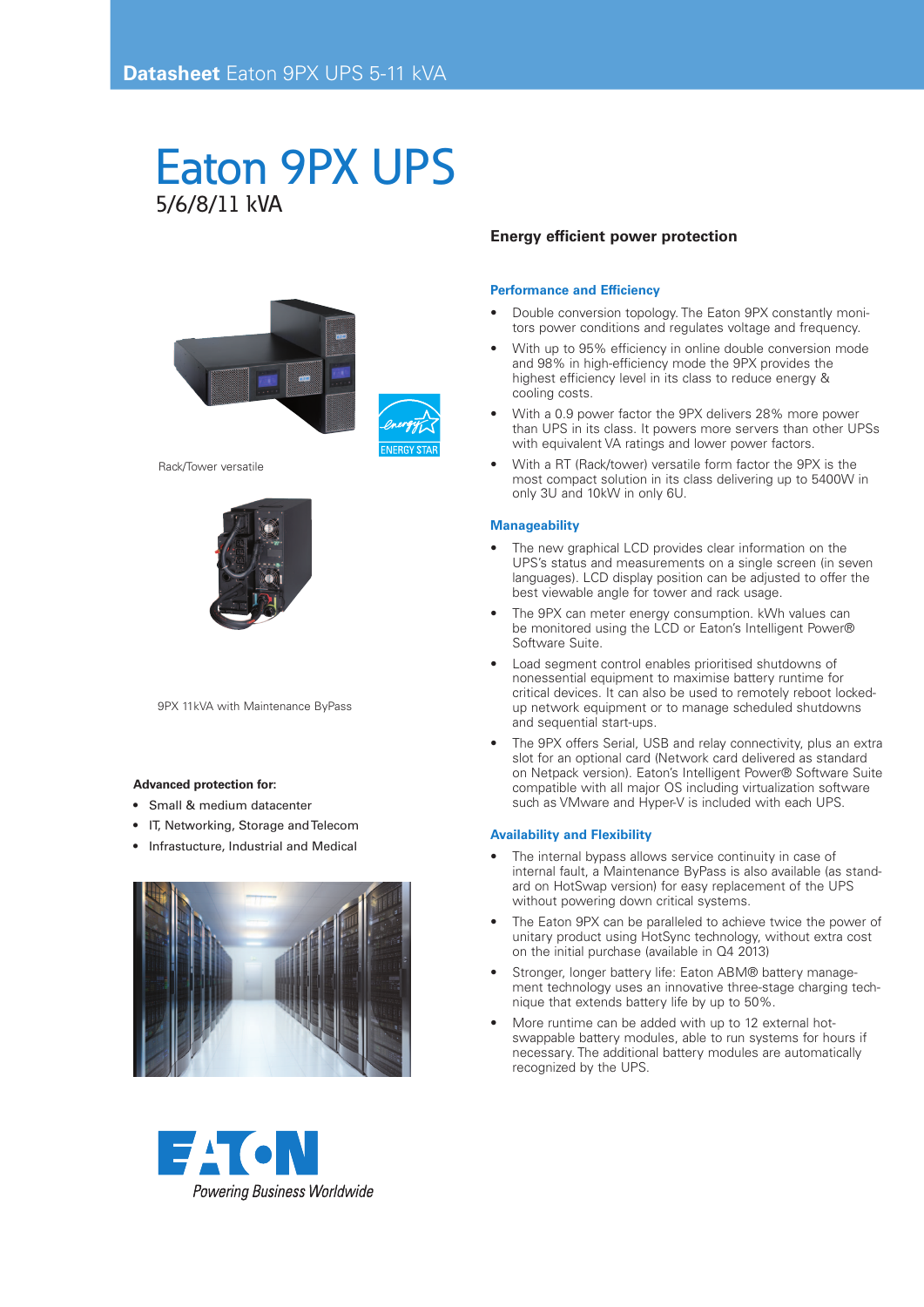# Eaton 9PX UPS 5/6/8/11 kVA





Rack/Tower versatile



9PX 11kVA with Maintenance ByPass

#### **Advanced protection for:**

- • Small & medium datacenter
- IT, Networking, Storage and Telecom
- • Infrastucture, Industrial and Medical





### **Energy efficient power protection**

#### **Performance and Efficiency**

- Double conversion topology. The Eaton 9PX constantly monitors power conditions and regulates voltage and frequency.
- With up to 95% efficiency in online double conversion mode and 98% in high-efficiency mode the 9PX provides the highest efficiency level in its class to reduce energy & cooling costs.
- With a 0.9 power factor the 9PX delivers 28% more power than UPS in its class. It powers more servers than other UPSs with equivalent VA ratings and lower power factors.
- With a RT (Rack/tower) versatile form factor the 9PX is the most compact solution in its class delivering up to 5400W in only 3U and 10kW in only 6U.

#### **Manageability**

- The new graphical LCD provides clear information on the UPS's status and measurements on a single screen (in seven languages). LCD display position can be adjusted to offer the best viewable angle for tower and rack usage.
- The 9PX can meter energy consumption. kWh values can be monitored using the LCD or Eaton's Intelligent Power® Software Suite.
- Load segment control enables prioritised shutdowns of nonessential equipment to maximise battery runtime for critical devices. It can also be used to remotely reboot lockedup network equipment or to manage scheduled shutdowns and sequential start-ups.
- The 9PX offers Serial, USB and relay connectivity, plus an extra slot for an optional card (Network card delivered as standard on Netpack version). Eaton's Intelligent Power® Software Suite compatible with all major OS including virtualization software such as VMware and Hyper-V is included with each UPS.

#### **Availability and Flexibility**

- The internal bypass allows service continuity in case of internal fault, a Maintenance ByPass is also available (as standard on HotSwap version) for easy replacement of the UPS without powering down critical systems.
- The Eaton 9PX can be paralleled to achieve twice the power of unitary product using HotSync technology, without extra cost on the initial purchase (available in Q4 2013)
- Stronger, longer battery life: Eaton ABM® battery management technology uses an innovative three-stage charging technique that extends battery life by up to 50%.
- More runtime can be added with up to 12 external hotswappable battery modules, able to run systems for hours if necessary. The additional battery modules are automatically recognized by the UPS.